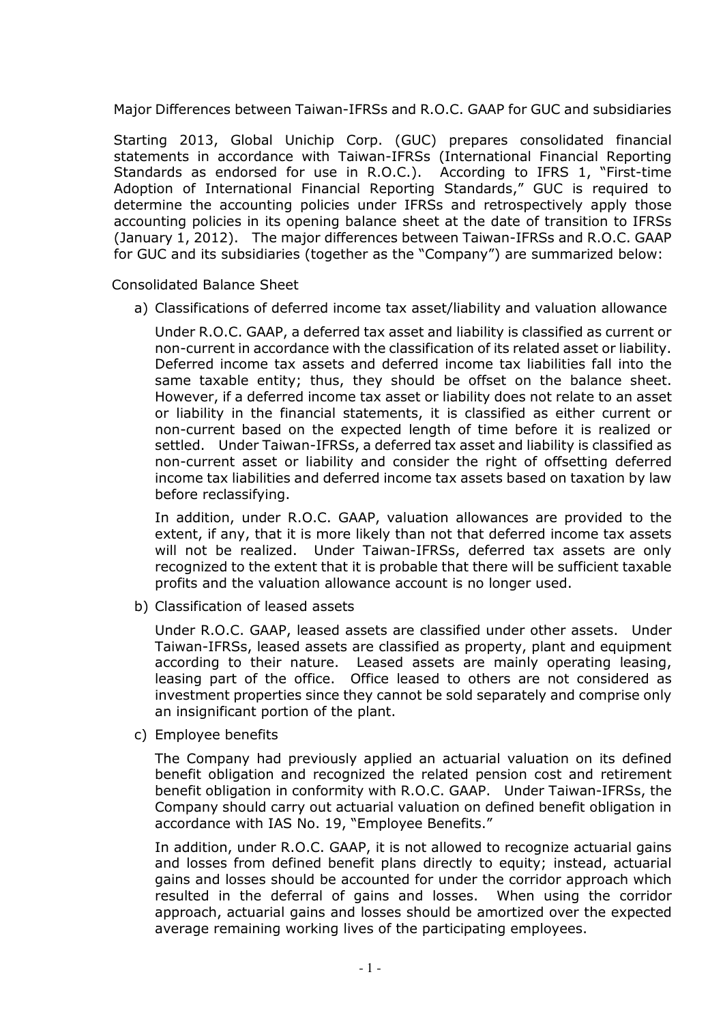Major Differences between Taiwan-IFRSs and R.O.C. GAAP for GUC and subsidiaries

Starting 2013, Global Unichip Corp. (GUC) prepares consolidated financial statements in accordance with Taiwan-IFRSs (International Financial Reporting Standards as endorsed for use in R.O.C.). According to IFRS 1, "First-time Adoption of International Financial Reporting Standards," GUC is required to determine the accounting policies under IFRSs and retrospectively apply those accounting policies in its opening balance sheet at the date of transition to IFRSs (January 1, 2012). The major differences between Taiwan-IFRSs and R.O.C. GAAP for GUC and its subsidiaries (together as the "Company") are summarized below:

Consolidated Balance Sheet

a) Classifications of deferred income tax asset/liability and valuation allowance

Under R.O.C. GAAP, a deferred tax asset and liability is classified as current or non-current in accordance with the classification of its related asset or liability. Deferred income tax assets and deferred income tax liabilities fall into the same taxable entity; thus, they should be offset on the balance sheet. However, if a deferred income tax asset or liability does not relate to an asset or liability in the financial statements, it is classified as either current or non-current based on the expected length of time before it is realized or settled. Under Taiwan-IFRSs, a deferred tax asset and liability is classified as non-current asset or liability and consider the right of offsetting deferred income tax liabilities and deferred income tax assets based on taxation by law before reclassifying.

In addition, under R.O.C. GAAP, valuation allowances are provided to the extent, if any, that it is more likely than not that deferred income tax assets will not be realized. Under Taiwan-IFRSs, deferred tax assets are only recognized to the extent that it is probable that there will be sufficient taxable profits and the valuation allowance account is no longer used.

b) Classification of leased assets

Under R.O.C. GAAP, leased assets are classified under other assets. Under Taiwan-IFRSs, leased assets are classified as property, plant and equipment according to their nature. Leased assets are mainly operating leasing, leasing part of the office. Office leased to others are not considered as investment properties since they cannot be sold separately and comprise only an insignificant portion of the plant.

c) Employee benefits

The Company had previously applied an actuarial valuation on its defined benefit obligation and recognized the related pension cost and retirement benefit obligation in conformity with R.O.C. GAAP. Under Taiwan-IFRSs, the Company should carry out actuarial valuation on defined benefit obligation in accordance with IAS No. 19, "Employee Benefits."

In addition, under R.O.C. GAAP, it is not allowed to recognize actuarial gains and losses from defined benefit plans directly to equity; instead, actuarial gains and losses should be accounted for under the corridor approach which resulted in the deferral of gains and losses. When using the corridor approach, actuarial gains and losses should be amortized over the expected average remaining working lives of the participating employees.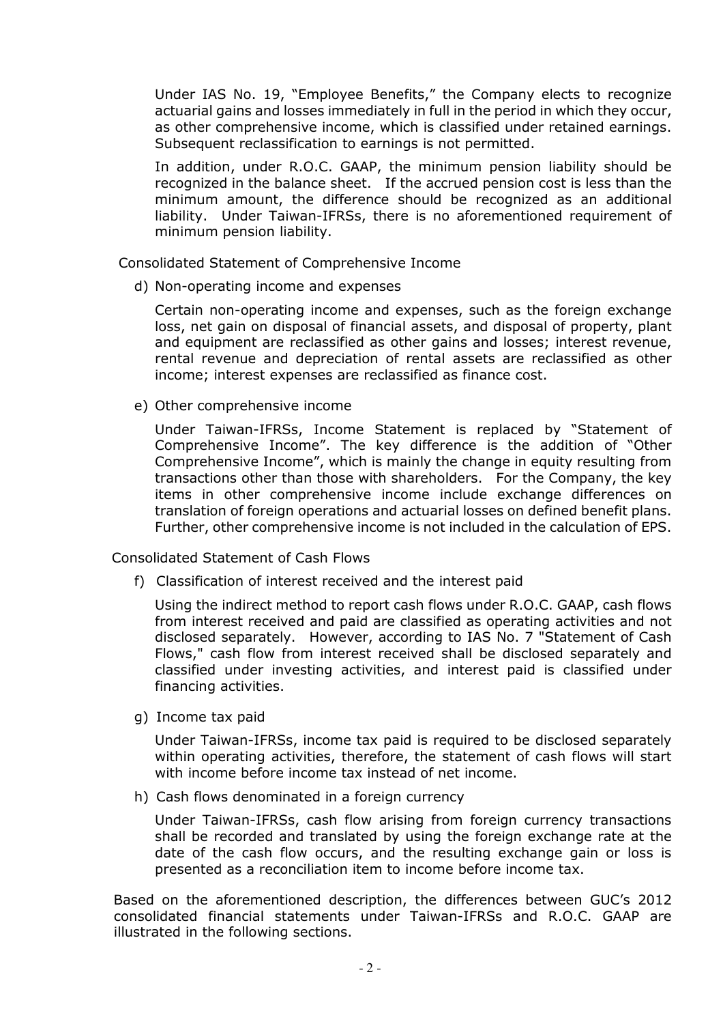Under IAS No. 19, "Employee Benefits," the Company elects to recognize actuarial gains and losses immediately in full in the period in which they occur, as other comprehensive income, which is classified under retained earnings. Subsequent reclassification to earnings is not permitted.

In addition, under R.O.C. GAAP, the minimum pension liability should be recognized in the balance sheet. If the accrued pension cost is less than the minimum amount, the difference should be recognized as an additional liability. Under Taiwan-IFRSs, there is no aforementioned requirement of minimum pension liability.

Consolidated Statement of Comprehensive Income

d) Non-operating income and expenses

Certain non-operating income and expenses, such as the foreign exchange loss, net gain on disposal of financial assets, and disposal of property, plant and equipment are reclassified as other gains and losses; interest revenue, rental revenue and depreciation of rental assets are reclassified as other income; interest expenses are reclassified as finance cost.

e) Other comprehensive income

Under Taiwan-IFRSs, Income Statement is replaced by "Statement of Comprehensive Income". The key difference is the addition of "Other Comprehensive Income", which is mainly the change in equity resulting from transactions other than those with shareholders. For the Company, the key items in other comprehensive income include exchange differences on translation of foreign operations and actuarial losses on defined benefit plans. Further, other comprehensive income is not included in the calculation of EPS.

Consolidated Statement of Cash Flows

f) Classification of interest received and the interest paid

Using the indirect method to report cash flows under R.O.C. GAAP, cash flows from interest received and paid are classified as operating activities and not disclosed separately. However, according to IAS No. 7 "Statement of Cash Flows," cash flow from interest received shall be disclosed separately and classified under investing activities, and interest paid is classified under financing activities.

g) Income tax paid

Under Taiwan-IFRSs, income tax paid is required to be disclosed separately within operating activities, therefore, the statement of cash flows will start with income before income tax instead of net income.

h) Cash flows denominated in a foreign currency

Under Taiwan-IFRSs, cash flow arising from foreign currency transactions shall be recorded and translated by using the foreign exchange rate at the date of the cash flow occurs, and the resulting exchange gain or loss is presented as a reconciliation item to income before income tax.

Based on the aforementioned description, the differences between GUC's 2012 consolidated financial statements under Taiwan-IFRSs and R.O.C. GAAP are illustrated in the following sections.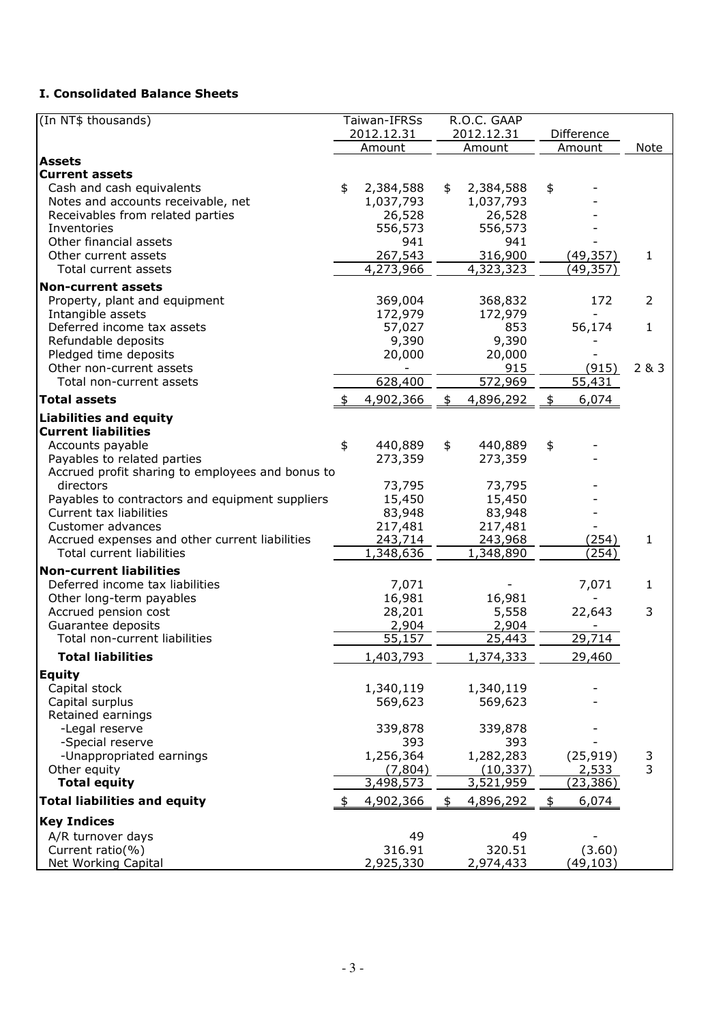## I. Consolidated Balance Sheets

| (In NT\$ thousands)                                             |            | Taiwan-IFRSs           |            | R.O.C. GAAP            |            |           |              |
|-----------------------------------------------------------------|------------|------------------------|------------|------------------------|------------|-----------|--------------|
|                                                                 | 2012.12.31 |                        | 2012.12.31 |                        | Difference |           |              |
|                                                                 |            | Amount                 |            | Amount                 |            | Amount    | Note         |
| <b>Assets</b>                                                   |            |                        |            |                        |            |           |              |
| <b>Current assets</b>                                           | \$         |                        |            |                        |            |           |              |
| Cash and cash equivalents<br>Notes and accounts receivable, net |            | 2,384,588<br>1,037,793 | \$         | 2,384,588<br>1,037,793 | \$         |           |              |
| Receivables from related parties                                |            | 26,528                 |            | 26,528                 |            |           |              |
| Inventories                                                     |            | 556,573                |            | 556,573                |            |           |              |
| Other financial assets                                          |            | 941                    |            | 941                    |            |           |              |
| Other current assets                                            |            | 267,543                |            | 316,900                |            | (49, 357) | $\mathbf{1}$ |
| Total current assets                                            |            | 4,273,966              |            | 4,323,323              |            | (49, 357) |              |
| <b>Non-current assets</b>                                       |            |                        |            |                        |            |           |              |
| Property, plant and equipment                                   |            | 369,004                |            | 368,832                |            | 172       | 2            |
| Intangible assets                                               |            | 172,979                |            | 172,979                |            |           |              |
| Deferred income tax assets                                      |            | 57,027                 |            | 853                    |            | 56,174    | $\mathbf{1}$ |
| Refundable deposits                                             |            | 9,390                  |            | 9,390                  |            |           |              |
| Pledged time deposits                                           |            | 20,000                 |            | 20,000                 |            |           |              |
| Other non-current assets                                        |            |                        |            | 915                    |            | (915)     | 2 & 3        |
| Total non-current assets                                        |            | 628,400                |            | 572,969                |            | 55,431    |              |
| <b>Total assets</b>                                             |            | 4,902,366              | \$         | 4,896,292              | \$         | 6,074     |              |
| <b>Liabilities and equity</b>                                   |            |                        |            |                        |            |           |              |
| <b>Current liabilities</b>                                      |            |                        |            |                        |            |           |              |
| Accounts payable                                                | \$         | 440,889                | \$         | 440,889                | \$         |           |              |
| Payables to related parties                                     |            | 273,359                |            | 273,359                |            |           |              |
| Accrued profit sharing to employees and bonus to                |            |                        |            |                        |            |           |              |
| directors                                                       |            | 73,795                 |            | 73,795                 |            |           |              |
| Payables to contractors and equipment suppliers                 |            | 15,450                 |            | 15,450                 |            |           |              |
| Current tax liabilities                                         |            | 83,948                 |            | 83,948                 |            |           |              |
| Customer advances                                               |            | 217,481                |            | 217,481                |            |           |              |
| Accrued expenses and other current liabilities                  |            | 243,714                |            | 243,968                |            | (254)     | 1            |
| Total current liabilities                                       |            | 1,348,636              |            | 1,348,890              |            | (254)     |              |
| <b>Non-current liabilities</b>                                  |            |                        |            |                        |            |           |              |
| Deferred income tax liabilities                                 |            | 7,071                  |            |                        |            | 7,071     | 1            |
| Other long-term payables                                        |            | 16,981                 |            | 16,981                 |            |           |              |
| Accrued pension cost                                            |            | 28,201                 |            | 5,558                  |            | 22,643    | 3            |
| Guarantee deposits                                              |            | 2,904                  |            | 2,904                  |            |           |              |
| Total non-current liabilities                                   |            | 55,157                 |            | 25,443                 |            | 29,714    |              |
| <b>Total liabilities</b>                                        |            | 1,403,793              |            | 1,374,333              |            | 29,460    |              |
| <b>Equity</b>                                                   |            |                        |            |                        |            |           |              |
| Capital stock                                                   |            | 1,340,119              |            | 1,340,119              |            |           |              |
| Capital surplus                                                 |            | 569,623                |            | 569,623                |            |           |              |
| Retained earnings                                               |            |                        |            |                        |            |           |              |
| -Legal reserve                                                  |            | 339,878                |            | 339,878                |            |           |              |
| -Special reserve                                                |            | 393                    |            | 393                    |            |           |              |
| -Unappropriated earnings                                        |            | 1,256,364              |            | 1,282,283              |            | (25, 919) | 3            |
| Other equity                                                    |            | (7,804)                |            | (10, 337)              |            | 2,533     | 3            |
| <b>Total equity</b>                                             |            | 3,498,573              |            | 3,521,959              |            | (23, 386) |              |
| <b>Total liabilities and equity</b>                             |            | 4,902,366              | \$         | 4,896,292              | \$         | 6,074     |              |
| <b>Key Indices</b>                                              |            |                        |            |                        |            |           |              |
| A/R turnover days                                               |            | 49                     |            | 49                     |            |           |              |
| Current ratio(%)                                                |            | 316.91                 |            | 320.51                 |            | (3.60)    |              |
| <b>Net Working Capital</b>                                      |            | 2,925,330              |            | 2,974,433              |            | (49, 103) |              |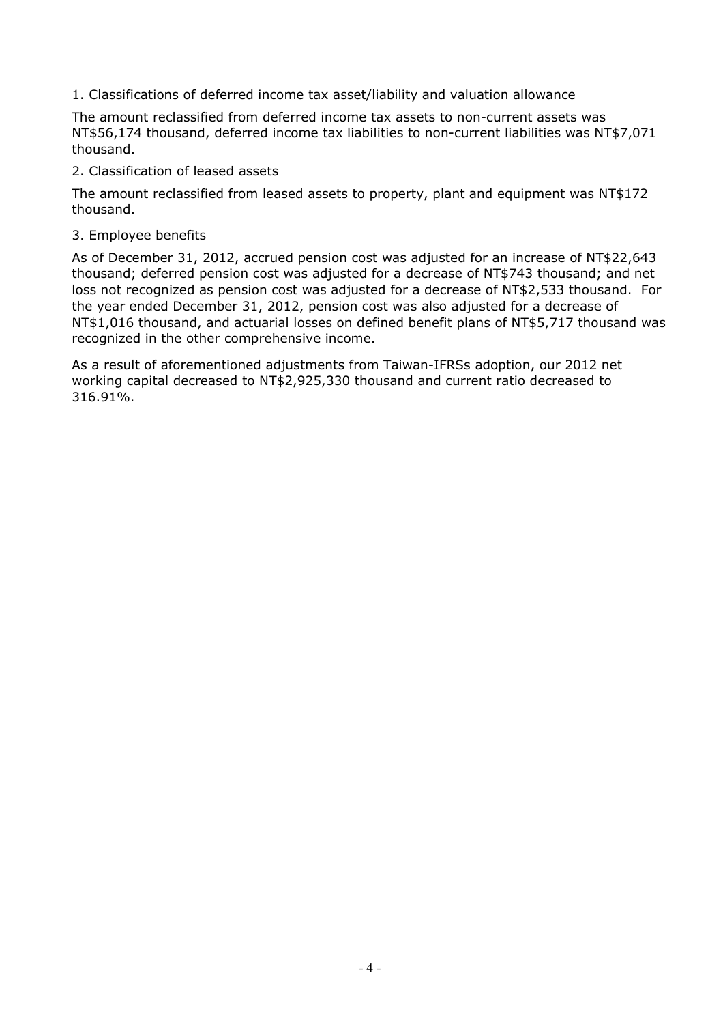1. Classifications of deferred income tax asset/liability and valuation allowance

The amount reclassified from deferred income tax assets to non-current assets was NT\$56,174 thousand, deferred income tax liabilities to non-current liabilities was NT\$7,071 thousand.

2. Classification of leased assets

The amount reclassified from leased assets to property, plant and equipment was NT\$172 thousand.

3. Employee benefits

As of December 31, 2012, accrued pension cost was adjusted for an increase of NT\$22,643 thousand; deferred pension cost was adjusted for a decrease of NT\$743 thousand; and net loss not recognized as pension cost was adjusted for a decrease of NT\$2,533 thousand. For the year ended December 31, 2012, pension cost was also adjusted for a decrease of NT\$1,016 thousand, and actuarial losses on defined benefit plans of NT\$5,717 thousand was recognized in the other comprehensive income.

As a result of aforementioned adjustments from Taiwan-IFRSs adoption, our 2012 net working capital decreased to NT\$2,925,330 thousand and current ratio decreased to 316.91%.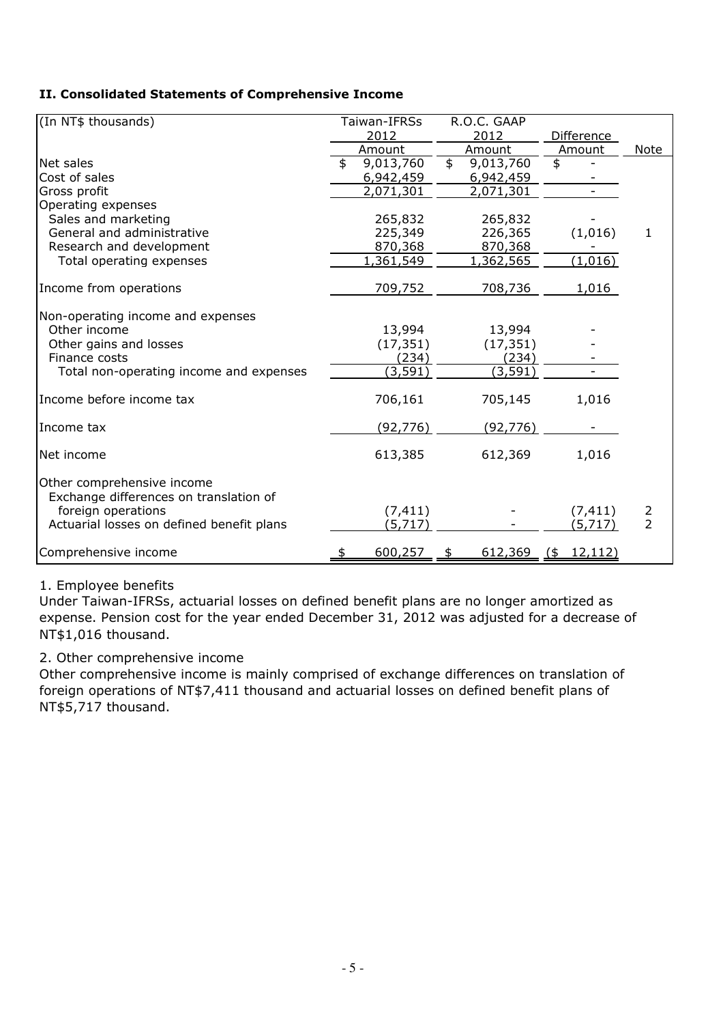# II. Consolidated Statements of Comprehensive Income

| (In NT\$ thousands)                                                  | Taiwan-IFRSs |           |               | R.O.C. GAAP |                   |                |
|----------------------------------------------------------------------|--------------|-----------|---------------|-------------|-------------------|----------------|
|                                                                      |              | 2012      |               | 2012        | Difference        |                |
|                                                                      |              | Amount    |               | Amount      | Amount            | Note           |
| Net sales                                                            | \$           | 9,013,760 | $\frac{1}{2}$ | 9,013,760   | \$                |                |
| Cost of sales                                                        |              | 6,942,459 |               | 6,942,459   |                   |                |
| Gross profit                                                         |              | 2,071,301 |               | 2,071,301   |                   |                |
| Operating expenses                                                   |              |           |               |             |                   |                |
| Sales and marketing                                                  |              | 265,832   |               | 265,832     |                   |                |
| General and administrative                                           |              | 225,349   |               | 226,365     | (1,016)           | $\mathbf{1}$   |
| Research and development                                             |              | 870,368   |               | 870,368     |                   |                |
| Total operating expenses                                             |              | 1,361,549 |               | 1,362,565   | (1,016)           |                |
| Income from operations                                               |              | 709,752   |               | 708,736     | 1,016             |                |
| Non-operating income and expenses                                    |              |           |               |             |                   |                |
| Other income                                                         |              | 13,994    |               | 13,994      |                   |                |
| Other gains and losses                                               |              | (17, 351) |               | (17, 351)   |                   |                |
| Finance costs                                                        |              | (234)     |               | (234)       |                   |                |
| Total non-operating income and expenses                              |              | (3, 591)  |               | (3, 591)    |                   |                |
| Income before income tax                                             |              | 706,161   |               | 705,145     | 1,016             |                |
| Income tax                                                           |              | (92, 776) |               | (92, 776)   |                   |                |
| Net income                                                           |              | 613,385   |               | 612,369     | 1,016             |                |
| Other comprehensive income<br>Exchange differences on translation of |              |           |               |             |                   |                |
| foreign operations                                                   |              | (7, 411)  |               |             | (7, 411)          | 2              |
| Actuarial losses on defined benefit plans                            |              | (5,717)   |               |             | (5,717)           | $\overline{2}$ |
| Comprehensive income                                                 |              | 600,257   | \$            | 612,369     | 12,112)<br>$($ \$ |                |

## 1. Employee benefits

Under Taiwan-IFRSs, actuarial losses on defined benefit plans are no longer amortized as expense. Pension cost for the year ended December 31, 2012 was adjusted for a decrease of NT\$1,016 thousand.

## 2. Other comprehensive income

Other comprehensive income is mainly comprised of exchange differences on translation of foreign operations of NT\$7,411 thousand and actuarial losses on defined benefit plans of NT\$5,717 thousand.